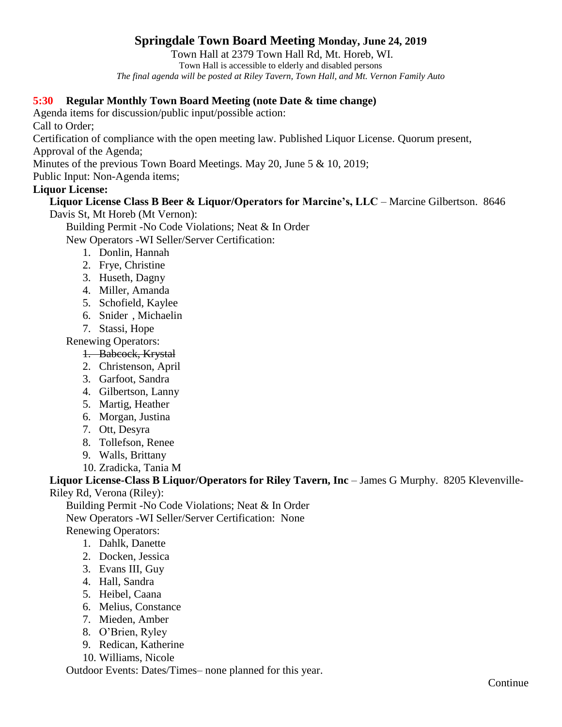# **Springdale Town Board Meeting Monday, June 24, 2019**

Town Hall at 2379 Town Hall Rd, Mt. Horeb, WI. Town Hall is accessible to elderly and disabled persons *The final agenda will be posted at Riley Tavern, Town Hall, and Mt. Vernon Family Auto*

#### **5:30 Regular Monthly Town Board Meeting (note Date & time change)**

Agenda items for discussion/public input/possible action: Call to Order; Certification of compliance with the open meeting law. Published Liquor License. Quorum present, Approval of the Agenda;

Minutes of the previous Town Board Meetings. May 20, June 5 & 10, 2019;

Public Input: Non-Agenda items;

#### **Liquor License:**

## **Liquor License Class B Beer & Liquor/Operators for Marcine's, LLC** – Marcine Gilbertson. 8646

Davis St, Mt Horeb (Mt Vernon):

Building Permit -No Code Violations; Neat & In Order

New Operators -WI Seller/Server Certification:

- 1. Donlin, Hannah
- 2. Frye, Christine
- 3. Huseth, Dagny
- 4. Miller, Amanda
- 5. Schofield, Kaylee
- 6. Snider , Michaelin
- 7. Stassi, Hope

Renewing Operators:

- 1. Babcock, Krystal
- 2. Christenson, April
- 3. Garfoot, Sandra
- 4. Gilbertson, Lanny
- 5. Martig, Heather
- 6. Morgan, Justina
- 7. Ott, Desyra
- 8. Tollefson, Renee
- 9. Walls, Brittany
- 10. Zradicka, Tania M

Liquor License-Class B Liquor/Operators for Riley Tavern, Inc - James G Murphy. 8205 Klevenville-Riley Rd, Verona (Riley):

Building Permit -No Code Violations; Neat & In Order New Operators -WI Seller/Server Certification: None Renewing Operators:

- 1. Dahlk, Danette
- 2. Docken, Jessica
- 3. Evans III, Guy
- 4. Hall, Sandra
- 5. Heibel, Caana
- 6. Melius, Constance
- 7. Mieden, Amber
- 8. O'Brien, Ryley
- 9. Redican, Katherine
- 10. Williams, Nicole

Outdoor Events: Dates/Times– none planned for this year.